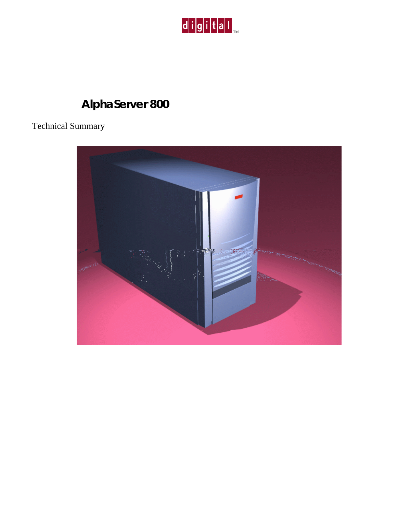

# **AlphaServer 800**

## Technical Summary

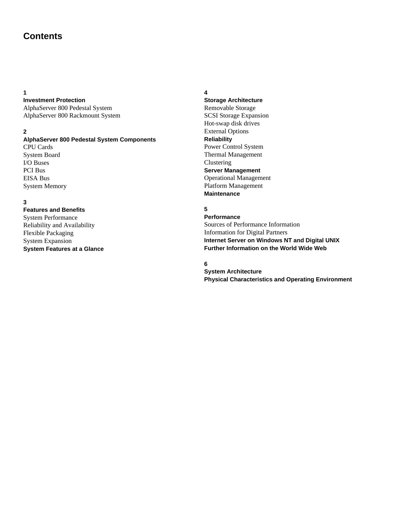## **Contents**

#### **1**

#### **Investment Protection**

AlphaServer 800 Pedestal System AlphaServer 800 Rackmount System

#### **2**

#### **AlphaServer 800 Pedestal System Components**

CPU Cards System Board I/O Buses PCI Bus EISA Bus System Memory

#### **3**

#### **Features and Benefits** System Performance

Reliability and Availability Flexible Packaging System Expansion **System Features at a Glance**

#### **4**

## **Storage Architecture**

Removable Storage SCSI Storage Expansion Hot-swap disk drives External Options **Reliability** Power Control System Thermal Management Clustering **Server Management** Operational Management Platform Management **Maintenance**

#### **5**

#### **Performance** Sources of Performance Information Information for Digital Partners **Internet Server on Windows NT and Digital UNIX Further Information on the World Wide Web**

#### **6**

**System Architecture Physical Characteristics and Operating Environment**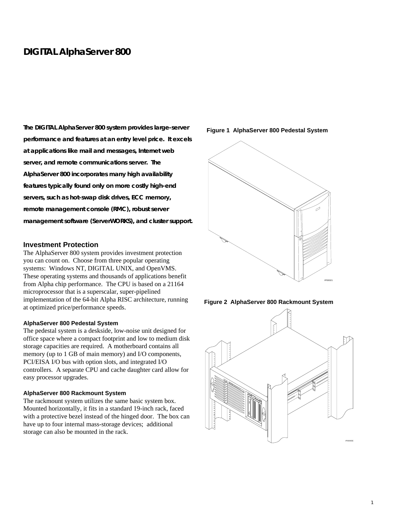## **DIGITAL AlphaServer 800**

**The DIGITAL AlphaServer 800 system provides large-server performance and features at an entry level price. It excels at applications like mail and messages, Internet web server, and remote communications server. The AlphaServer 800 incorporates many high availability features typically found only on more costly high-end servers, such as hot-swap disk drives, ECC memory, remote management console (RMC), robust server management software (ServerWORKS), and cluster support.**

#### **Investment Protection**

The AlphaServer 800 system provides investment protection you can count on. Choose from three popular operating systems: Windows NT, DIGITAL UNIX, and OpenVMS. These operating systems and thousands of applications benefit from Alpha chip performance. The CPU is based on a 21164 microprocessor that is a superscalar, super-pipelined implementation of the 64-bit Alpha RISC architecture, running at optimized price/performance speeds.

#### **AlphaServer 800 Pedestal System**

The pedestal system is a deskside, low-noise unit designed for office space where a compact footprint and low to medium disk storage capacities are required. A motherboard contains all memory (up to 1 GB of main memory) and I/O components, PCI/EISA I/O bus with option slots, and integrated I/O controllers. A separate CPU and cache daughter card allow for easy processor upgrades.

#### **AlphaServer 800 Rackmount System**

The rackmount system utilizes the same basic system box. Mounted horizontally, it fits in a standard 19-inch rack, faced with a protective bezel instead of the hinged door. The box can have up to four internal mass-storage devices; additional storage can also be mounted in the rack.

**Figure 1 AlphaServer 800 Pedestal System**





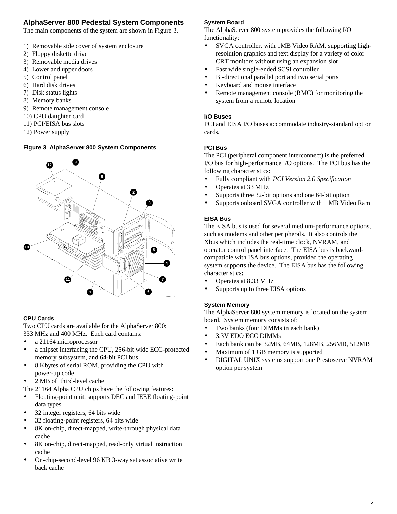## **AlphaServer 800 Pedestal System Components**

The main components of the system are shown in Figure 3.

- 1) Removable side cover of system enclosure
- 2) Floppy diskette drive
- 3) Removable media drives
- 4) Lower and upper doors
- 5) Control panel
- 6) Hard disk drives
- 7) Disk status lights
- 8) Memory banks
- 9) Remote management console
- 10) CPU daughter card
- 11) PCI/EISA bus slots
- 12) Power supply

#### **Figure 3 AlphaServer 800 System Components**



#### **CPU Cards**

Two CPU cards are available for the AlphaServer 800: 333 MHz and 400 MHz. Each card contains:

- a 21164 microprocessor
- a chipset interfacing the CPU, 256-bit wide ECC-protected memory subsystem, and 64-bit PCI bus
- 8 Kbytes of serial ROM, providing the CPU with power-up code
- 2 MB of third-level cache
- The 21164 Alpha CPU chips have the following features:
- Floating-point unit, supports DEC and IEEE floating-point data types
- 32 integer registers, 64 bits wide
- 32 floating-point registers, 64 bits wide
- 8K on-chip, direct-mapped, write-through physical data cache
- 8K on-chip, direct-mapped, read-only virtual instruction cache
- On-chip-second-level 96 KB 3-way set associative write back cache

#### **System Board**

The AlphaServer 800 system provides the following I/O functionality:

- SVGA controller, with 1MB Video RAM, supporting highresolution graphics and text display for a variety of color CRT monitors without using an expansion slot
- Fast wide single-ended SCSI controller
- Bi-directional parallel port and two serial ports
- Keyboard and mouse interface
- Remote management console (RMC) for monitoring the system from a remote location

#### **I/O Buses**

PCI and EISA I/O buses accommodate industry-standard option cards.

#### **PCI Bus**

The PCI (peripheral component interconnect) is the preferred I/O bus for high-performance I/O options. The PCI bus has the following characteristics:

- Fully compliant with *PCI Version 2.0 Specification*
- Operates at 33 MHz
- Supports three 32-bit options and one 64-bit option
- Supports onboard SVGA controller with 1 MB Video Ram

#### **EISA Bus**

The EISA bus is used for several medium-performance options, such as modems and other peripherals. It also controls the Xbus which includes the real-time clock, NVRAM, and operator control panel interface. The EISA bus is backwardcompatible with ISA bus options, provided the operating system supports the device. The EISA bus has the following characteristics:

- Operates at 8.33 MHz
- Supports up to three EISA options

#### **System Memory**

The AlphaServer 800 system memory is located on the system board. System memory consists of:

- Two banks (four DIMMs in each bank)
- 3.3V EDO ECC DIMMs
- Each bank can be 32MB, 64MB, 128MB, 256MB, 512MB
- Maximum of 1 GB memory is supported
- DIGITAL UNIX systems support one Prestoserve NVRAM option per system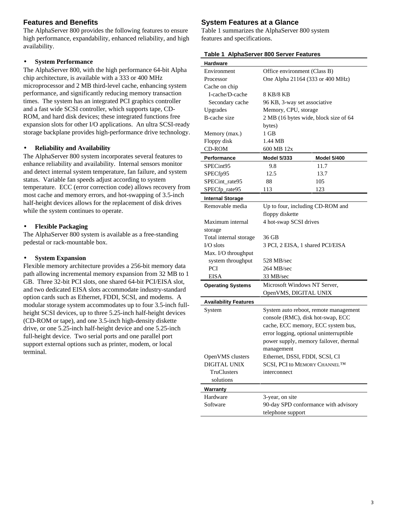## **Features and Benefits**

The AlphaServer 800 provides the following features to ensure high performance, expandability, enhanced reliability, and high availability.

#### • **System Performance**

The AlphaServer 800, with the high performance 64-bit Alpha chip architecture, is available with a 333 or 400 MHz microprocessor and 2 MB third-level cache, enhancing system performance, and significantly reducing memory transaction times. The system has an integrated PCI graphics controller and a fast wide SCSI controller, which supports tape, CD-ROM, and hard disk devices; these integrated functions free expansion slots for other I/O applications. An ultra SCSI-ready storage backplane provides high-performance drive technology.

#### • **Reliability and Availability**

The AlphaServer 800 system incorporates several features to enhance reliability and availability. Internal sensors monitor and detect internal system temperature, fan failure, and system status. Variable fan speeds adjust according to system temperature. ECC (error correction code) allows recovery from most cache and memory errors, and hot-swapping of 3.5-inch half-height devices allows for the replacement of disk drives while the system continues to operate.

#### • **Flexible Packaging**

The AlphaServer 800 system is available as a free-standing pedestal or rack-mountable box.

#### • **System Expansion**

Flexible memory architecture provides a 256-bit memory data path allowing incremental memory expansion from 32 MB to 1 GB. Three 32-bit PCI slots, one shared 64-bit PCI/EISA slot, and two dedicated EISA slots accommodate industry-standard option cards such as Ethernet, FDDI, SCSI, and modems. A modular storage system accommodates up to four 3.5-inch fullheight SCSI devices, up to three 5.25-inch half-height devices (CD-ROM or tape), and one 3.5-inch high-density diskette drive, or one 5.25-inch half-height device and one 5.25-inch full-height device. Two serial ports and one parallel port support external options such as printer, modem, or local terminal.

## **System Features at a Glance**

Table 1 summarizes the AlphaServer 800 system features and specifications.

|  | Table 1 AlphaServer 800 Server Features |  |  |
|--|-----------------------------------------|--|--|
|--|-----------------------------------------|--|--|

| Hardware                     |                                         |             |  |
|------------------------------|-----------------------------------------|-------------|--|
| Environment                  | Office environment (Class B)            |             |  |
| Processor                    | One Alpha 21164 (333 or 400 MHz)        |             |  |
| Cache on chip                |                                         |             |  |
| I-cache/D-cache              | 8 KB/8 KB                               |             |  |
| Secondary cache              | 96 KB, 3-way set associative            |             |  |
| Upgrades                     | Memory, CPU, storage                    |             |  |
| B-cache size                 | 2 MB (16 bytes wide, block size of 64   |             |  |
|                              | bytes)                                  |             |  |
| Memory (max.)                | 1 GB                                    |             |  |
| Floppy disk                  | 1.44 MB                                 |             |  |
| <b>CD-ROM</b>                | 600 MB 12x                              |             |  |
| Performance                  | <b>Model 5/333</b>                      | Model 5/400 |  |
| SPECint95                    | 9.8                                     | 11.7        |  |
| SPECfp95                     | 12.5                                    | 13.7        |  |
| SPECint_rate95               | 88                                      | 105         |  |
| SPECfp_rate95                | 113                                     | 123         |  |
| <b>Internal Storage</b>      |                                         |             |  |
| Removable media              | Up to four, including CD-ROM and        |             |  |
|                              | floppy diskette                         |             |  |
| Maximum internal             | 4 hot-swap SCSI drives                  |             |  |
| storage                      |                                         |             |  |
| Total internal storage       | 36 GB                                   |             |  |
| $IO slots$                   | 3 PCI, 2 EISA, 1 shared PCI/EISA        |             |  |
| Max. I/O throughput          |                                         |             |  |
| system throughput            | 528 MB/sec                              |             |  |
| <b>PCI</b>                   | 264 MB/sec                              |             |  |
| <b>EISA</b>                  | 33 MB/sec                               |             |  |
| <b>Operating Systems</b>     | Microsoft Windows NT Server,            |             |  |
|                              | OpenVMS, DIGITAL UNIX                   |             |  |
| <b>Availability Features</b> |                                         |             |  |
| System                       | System auto reboot, remote management   |             |  |
|                              | console (RMC), disk hot-swap, ECC       |             |  |
|                              | cache, ECC memory, ECC system bus,      |             |  |
|                              | error logging, optional uninterruptible |             |  |
|                              | power supply, memory failover, thermal  |             |  |
|                              | management                              |             |  |
| OpenVMS clusters             | Ethernet, DSSI, FDDI, SCSI, CI          |             |  |
| DIGITAL UNIX                 | SCSI, PCI to MEMORY CHANNELTM           |             |  |
| TruClusters                  | interconnect                            |             |  |
| solutions                    |                                         |             |  |
| <b>Warranty</b>              |                                         |             |  |
| Hardware                     | 3-year, on site                         |             |  |
| Software                     | 90-day SPD conformance with advisory    |             |  |
|                              | telephone support                       |             |  |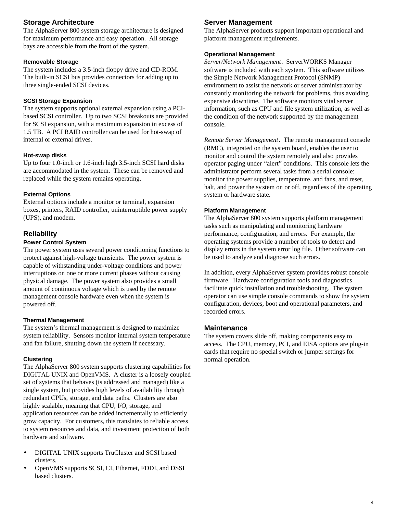## **Storage Architecture**

The AlphaServer 800 system storage architecture is designed for maximum performance and easy operation. All storage bays are accessible from the front of the system.

#### **Removable Storage**

The system includes a 3.5-inch floppy drive and CD-ROM. The built-in SCSI bus provides connectors for adding up to three single-ended SCSI devices.

#### **SCSI Storage Expansion**

The system supports optional external expansion using a PCIbased SCSI controller. Up to two SCSI breakouts are provided for SCSI expansion, with a maximum expansion in excess of 1.5 TB. A PCI RAID controller can be used for hot-swap of internal or external drives.

#### **Hot-swap disks**

Up to four 1.0-inch or 1.6-inch high 3.5-inch SCSI hard disks are accommodated in the system. These can be removed and replaced while the system remains operating.

#### **External Options**

External options include a monitor or terminal, expansion boxes, printers, RAID controller, uninterruptible power supply (UPS), and modem.

#### **Reliability**

#### **Power Control System**

The power system uses several power conditioning functions to protect against high-voltage transients. The power system is capable of withstanding under-voltage conditions and power interruptions on one or more current phases without causing physical damage. The power system also provides a small amount of continuous voltage which is used by the remote management console hardware even when the system is powered off.

#### **Thermal Management**

The system's thermal management is designed to maximize system reliability. Sensors monitor internal system temperature and fan failure, shutting down the system if necessary.

#### **Clustering**

The AlphaServer 800 system supports clustering capabilities for DIGITAL UNIX and OpenVMS. A cluster is a loosely coupled set of systems that behaves (is addressed and managed) like a single system, but provides high levels of availability through redundant CPUs, storage, and data paths. Clusters are also highly scalable, meaning that CPU, I/O, storage, and application resources can be added incrementally to efficiently grow capacity. For customers, this translates to reliable access to system resources and data, and investment protection of both hardware and software.

- DIGITAL UNIX supports TruCluster and SCSI based clusters.
- OpenVMS supports SCSI, CI, Ethernet, FDDI, and DSSI based clusters.

#### **Server Management**

The AlphaServer products support important operational and platform management requirements.

#### **Operational Management**

*Server/Network Management*. ServerWORKS Manager software is included with each system. This software utilizes the Simple Network Management Protocol (SNMP) environment to assist the network or server administrator by constantly monitoring the network for problems, thus avoiding expensive downtime. The software monitors vital server information, such as CPU and file system utilization, as well as the condition of the network supported by the management console.

*Remote Server Management*. The remote management console (RMC), integrated on the system board, enables the user to monitor and control the system remotely and also provides operator paging under "alert" conditions. This console lets the administrator perform several tasks from a serial console: monitor the power supplies, temperature, and fans, and reset, halt, and power the system on or off, regardless of the operating system or hardware state.

#### **Platform Management**

The AlphaServer 800 system supports platform management tasks such as manipulating and monitoring hardware performance, configuration, and errors. For example, the operating systems provide a number of tools to detect and display errors in the system error log file. Other software can be used to analyze and diagnose such errors.

In addition, every AlphaServer system provides robust console firmware. Hardware configuration tools and diagnostics facilitate quick installation and troubleshooting. The system operator can use simple console commands to show the system configuration, devices, boot and operational parameters, and recorded errors.

#### **Maintenance**

The system covers slide off, making components easy to access. The CPU, memory, PCI, and EISA options are plug-in cards that require no special switch or jumper settings for normal operation.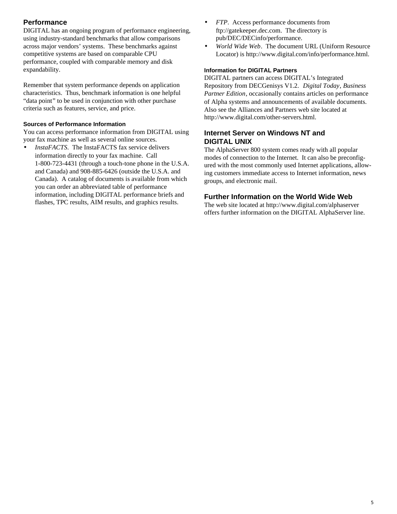## **Performance**

DIGITAL has an ongoing program of performance engineering, using industry-standard benchmarks that allow comparisons across major vendors' systems. These benchmarks against competitive systems are based on comparable CPU performance, coupled with comparable memory and disk expandability.

Remember that system performance depends on application characteristics. Thus, benchmark information is one helpful "data point" to be used in conjunction with other purchase criteria such as features, service, and price.

#### **Sources of Performance Information**

You can access performance information from DIGITAL using your fax machine as well as several online sources.

• *InstaFACTS*. The InstaFACTS fax service delivers information directly to your fax machine. Call 1-800-723-4431 (through a touch-tone phone in the U.S.A. and Canada) and 908-885-6426 (outside the U.S.A. and Canada). A catalog of documents is available from which you can order an abbreviated table of performance information, including DIGITAL performance briefs and flashes, TPC results, AIM results, and graphics results.

- *FTP*. Access performance documents from ftp://gatekeeper.dec.com. The directory is pub/DEC/DECinfo/performance.
- *World Wide Web*. The document URL (Uniform Resource Locator) is http://www.digital.com/info/performance.html.

#### **Information for DIGITAL Partners**

DIGITAL partners can access DIGITAL's Integrated Repository from DECGenisys V1.2. *Digital Today*, *Business Partner Edition*, occasionally contains articles on performance of Alpha systems and announcements of available documents. Also see the Alliances and Partners web site located at http://www.digital.com/other-servers.html.

## **Internet Server on Windows NT and DIGITAL UNIX**

The AlphaServer 800 system comes ready with all popular modes of connection to the Internet. It can also be preconfigured with the most commonly used Internet applications, allowing customers immediate access to Internet information, news groups, and electronic mail.

### **Further Information on the World Wide Web**

The web site located at http://www.digital.com/alphaserver offers further information on the DIGITAL AlphaServer line.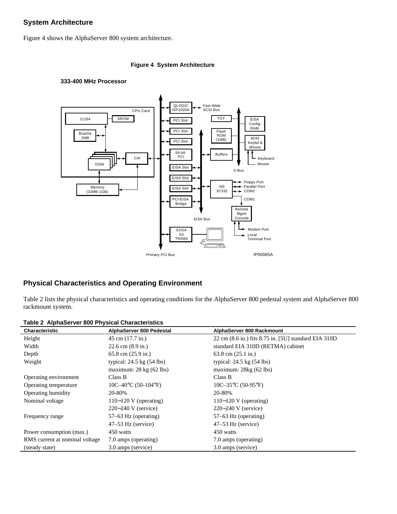## **System Architecture**

Figure 4 shows the AlphaServer 800 system architecture.

#### **Figure 4 System Architecture**

#### **333-400 MHz Processor**



## **Physical Characteristics and Operating Environment**

Table 2 lists the physical characteristics and operating conditions for the AlphaServer 800 pedestal system and AlphaServer 800 rackmount system.

| <b>Characteristic</b>          | AlphaServer 800 Pedestal                        | AlphaServer 800 Rackmount                            |
|--------------------------------|-------------------------------------------------|------------------------------------------------------|
| Height                         | 45 cm (17.7 in.)                                | 22 cm (8.6 in.) fits 8.75 in. [5U] standard EIA 310D |
| Width                          | $22.6$ cm $(8.9 \text{ in.})$                   | standard EIA 310D (RETMA) cabinet                    |
| Depth                          | $65.8$ cm $(25.9$ in.)                          | $63.8$ cm $(25.1 \text{ in.})$                       |
| Weight                         | typical: $24.5 \text{ kg}$ (54 lbs)             | typical: $24.5 \text{ kg}$ (54 lbs)                  |
|                                | maximum: $28 \text{ kg} (62 \text{ lbs})$       | maximum: $28kg(62)$ lbs)                             |
| Operating environment          | Class B                                         | Class B                                              |
| Operating temperature          | $10C-40\textdegree C$ (50-104 $\textdegree F$ ) | $10C-35\textdegree C (50-95\textdegree F)$           |
| Operating humidity             | 20-80%                                          | 20-80%                                               |
| Nominal voltage                | $110-120$ V (operating)                         | $110-120$ V (operating)                              |
|                                | $220-240$ V (service)                           | $220-240$ V (service)                                |
| Frequency range                | 57–63 Hz (operating)                            | 57–63 Hz (operating)                                 |
|                                | $47-53$ Hz (service)                            | $47-53$ Hz (service)                                 |
| Power consumption (max.)       | 450 watts                                       | 450 watts                                            |
| RMS current at nominal voltage | 7.0 amps (operating)                            | 7.0 amps (operating)                                 |
| (steady state)                 | 3.0 amps (service)                              | 3.0 amps (service)                                   |

**Table 2 AlphaServer 800 Physical Characteristics**